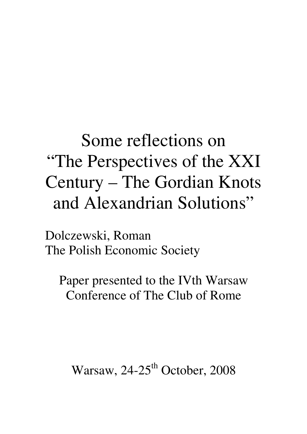# Some reflections on "The Perspectives of the XXI Century – The Gordian Knots and Alexandrian Solutions"

Dolczewski, Roman The Polish Economic Society

Paper presented to the IVth Warsaw Conference of The Club of Rome

Warsaw,  $24-25$ <sup>th</sup> October, 2008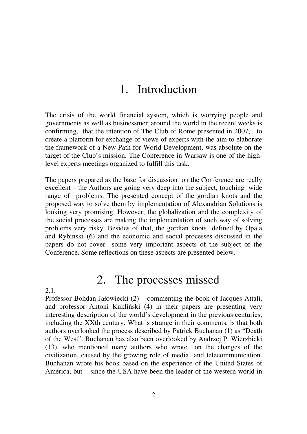### 1. Introduction

The crisis of the world financial system, which is worrying people and governments as well as businessmen around the world in the recent weeks is confirming, that the intention of The Club of Rome presented in 2007, to create a platform for exchange of views of experts with the aim to elaborate the framework of a New Path for World Development, was absolute on the target of the Club's mission. The Conference in Warsaw is one of the highlevel experts meetings organized to fulfill this task.

The papers prepared as the base for discussion on the Conference are really excellent – the Authors are going very deep into the subject, touching wide range of problems. The presented concept of the gordian knots and the proposed way to solve them by implementation of Alexandrian Solutions is looking very promising. However, the globalization and the complexity of the social processes are making the implementation of such way of solving problems very risky. Besides of that, the gordian knots defined by Opala and Rybinski (6) and the economic and social processes discussed in the papers do not cover some very important aspects of the subject of the Conference. Some reflections on these aspects are presented below.

### 2. The processes missed

2.1.

Professor Bohdan Jałowiecki (2) – commenting the book of Jacques Attali, and professor Antoni Kukliński (4) in their papers are presenting very interesting description of the world's development in the previous centuries, including the XXth century. What is strange in their comments, is that both authors overlooked the process described by Patrick Buchanan (1) as "Death of the West". Buchanan has also been overlooked by Andrzej P. Wierzbicki (13), who mentioned many authors who wrote on the changes of the civilization, caused by the growing role of media and telecommunication. Buchanan wrote his book based on the experience of the United States of America, but – since the USA have been the leader of the western world in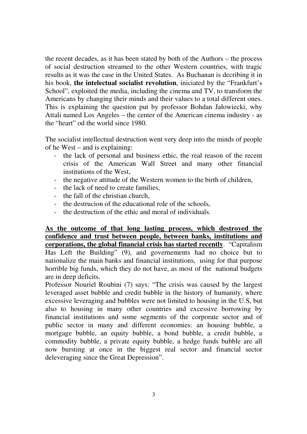the recent decades, as it has been stated by both of the Authors – the process of social destruction streamed to the other Western countries, with tragic results as it was the case in the United States. As Buchanan is decribing it in his book, **the intelectual socialist revolution**, iniciated by the "Frankfurt's School", exploited the media, including the cinema and TV, to transform the Americans by changing their minds and their values to a total different ones. This is explaining the question put by professor Bohdan Jałowiecki, why Attali named Los Angeles – the center of the American cinema industry - as the "heart" od the world since 1980.

The socialist intellectual destruction went very deep into the minds of people of he West – and is explaining:

- the lack of personal and business ethic, the real reason of the recent crisis of the American Wall Street and many other financial institutions of the West,
- the negative attitude of the Western women to the birth of children,
- the lack of need to create families,
- the fall of the christian church,
- the destrucion of the educational role of the schools,
- the destruction of the ethic and moral of individuals.

**As the outcome of that long lasting process, which destroyed the confidence and trust between people, between banks, institutions and corporations, the global financial crisis has started recently**. "Capitalism Has Left the Building" (9), and governements had no choice but to nationalize the main banks and financial institutions, using for that purpose horrible big funds, which they do not have, as most of the national budgets are in deep deficits.

Professor Nouriel Roubini (7) says: "The crisis was caused by the largest leveraged asset bubble and credit bubble in the history of humanity, where excessive leveraging and bubbles were not limited to housing in the U.S, but also to housing in many other countries and excessive borrowing by financial institutions and some segments of the corporate sector and of public sector in many and different economies: an housing bubble, a mortgage bubble, an equity bubble, a bond bubble, a credit bubble, a commodity bubble, a private equity bubble, a hedge funds bubble are all now bursting at once in the biggest real sector and financial sector deleveraging since the Great Depression".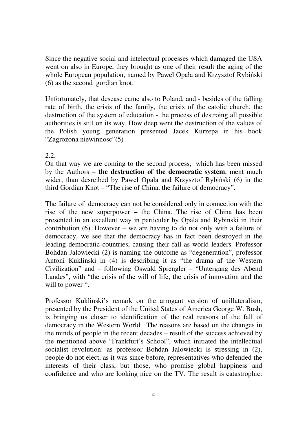Since the negative social and intelectual processes which damaged the USA went on also in Europe, they brought as one of their result the aging of the whole European population, named by Paweł Opała and Krzysztof Rybiński (6) as the second gordian knot.

Unfortunately, that desease came also to Poland, and - besides of the falling rate of birth, the crisis of the family, the crisis of the catolic church, the destruction of the system of education - the process of destroing all possible authorities is still on its way. How deep went the destruction of the values of the Polish young generation presented Jacek Kurzepa in his book "Zagrozona niewinnosc"(5)

#### 2.2.

On that way we are coming to the second process, which has been missed by the Authors – **the destruction of the democratic system**, ment much wider, than desrcibed by Paweł Opała and Krzysztof Rybiński (6) in the third Gordian Knot – "The rise of China, the failure of democracy".

The failure of democracy can not be considered only in connection with the rise of the new superpower – the China. The rise of China has been presented in an excellent way in particular by Opala and Rybinski in their contribution (6). However – we are having to do not only with a failure of democracy, we see that the democracy has in fact been destroyed in the leading democratic countries, causing their fall as world leaders. Professor Bohdan Jalowiecki (2) is naming the outcome as "degeneration", professor Antoni Kuklinski in (4) is describing it as "the drama af the Western Civilization" and – following Oswald Sprengler – "Untergang des Abend Landes", with "the crisis of the will of life, the crisis of innovation and the will to power ".

Professor Kuklinski's remark on the arrogant version of unillateralism, presented by the President of the United States of America George W. Bush, is bringing us closer to identification of the real reasons of the fall of democracy in the Western World. The reasons are based on the changes in the minds of people in the recent decades – result of the success achieved by the mentioned above "Frankfurt's School", which initiated the intellectual socialist revolution: as professor Bohdan Jalowiecki is stressing in (2), people do not elect, as it was since before, representatives who defended the interests of their class, but those, who promise global happiness and confidence and who are looking nice on the TV. The result is catastrophic: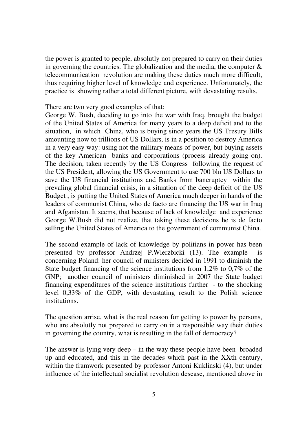the power is granted to people, absolutly not prepared to carry on their duties in governing the countries. The globalization and the media, the computer  $\&$ telecommunication revolution are making these duties much more difficult, thus requiring higher level of knowledge and experience. Unfortunately, the practice is showing rather a total different picture, with devastating results.

#### There are two very good examples of that:

George W. Bush, deciding to go into the war with Iraq, brought the budget of the United States of America for many years to a deep deficit and to the situation, in which China, who is buying since years the US Tresury Bills amounting now to trillions of US Dollars, is in a position to destroy America in a very easy way: using not the military means of power, but buying assets of the key American banks and corporations (process already going on). The decision, taken recently by the US Congress following the request of the US President, allowing the US Government to use 700 bln US Dollars to save the US financial institutions and Banks from bancruptcy within the prevaling global financial crisis, in a situation of the deep deficit of the US Budget , is putting the United States of America much deeper in hands of the leaders of communist China, who de facto are financing the US war in Iraq and Afganistan. It seems, that because of lack of knowledge and experience George W.Bush did not realize, that taking these decisions he is de facto selling the United States of America to the government of communist China.

The second example of lack of knowledge by politians in power has been presented by professor Andrzej P.Wierzbicki (13). The example is concerning Poland: her council of ministers decided in 1991 to diminish the State budget financing of the science institutions from 1,2% to 0,7% of the GNP; another council of ministers diminished in 2007 the State budget financing expenditures of the science institutions further - to the shocking level 0,33% of the GDP, with devastating result to the Polish science institutions.

The question arrise, what is the real reason for getting to power by persons, who are absolutly not prepared to carry on in a responsible way their duties in governing the country, what is resulting in the fall of democracy?

The answer is lying very deep – in the way these people have been broaded up and educated, and this in the decades which past in the XXth century, within the framwork presented by professor Antoni Kuklinski (4), but under influence of the intellectual socialist revolution desease, mentioned above in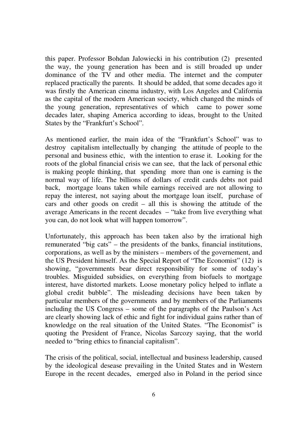this paper. Professor Bohdan Jalowiecki in his contribution (2) presented the way, the young generation has been and is still broaded up under dominance of the TV and other media. The internet and the computer replaced practically the parents. It should be added, that some decades ago it was firstly the American cinema industry, with Los Angeles and California as the capital of the modern American society, which changed the minds of the young generation, representatives of which came to power some decades later, shaping America according to ideas, brought to the United States by the "Frankfurt's School".

As mentioned earlier, the main idea of the "Frankfurt's School" was to destroy capitalism intellectually by changing the attitude of people to the personal and business ethic, with the intention to erase it. Looking for the roots of the global financial crisis we can see, that the lack of personal ethic is making people thinking, that spending more than one is earning is the normal way of life. The billions of dollars of credit cards debts not paid back, mortgage loans taken while earnings received are not allowing to repay the interest, not saying about the mortgage loan itself, purchase of cars and other goods on credit – all this is showing the attitude of the average Americans in the recent decades – "take from live everything what you can, do not look what will happen tomorrow".

Unfortunately, this approach has been taken also by the irrational high remunerated "big cats" – the presidents of the banks, financial institutions, corporations, as well as by the ministers – members of the governement, and the US President himself. As the Special Report of "The Economist" (12) is showing, "governments bear direct responsibility for some of today's troubles. Misguided subsidies, on everything from biofuels to mortgage interest, have distorted markets. Loose monetary policy helped to inflate a global credit bubble". The misleading decisions have been taken by particular members of the governments and by members of the Parliaments including the US Congress – some of the paragraphs of the Paulson's Act are clearly showing lack of ethic and fight for individual gains rather than of knowledge on the real situation of the United States. "The Economist" is quoting the President of France, Nicolas Sarcozy saying, that the world needed to "bring ethics to financial capitalism".

The crisis of the political, social, intellectual and business leadership, caused by the ideological desease prevailing in the United States and in Western Europe in the recent decades, emerged also in Poland in the period since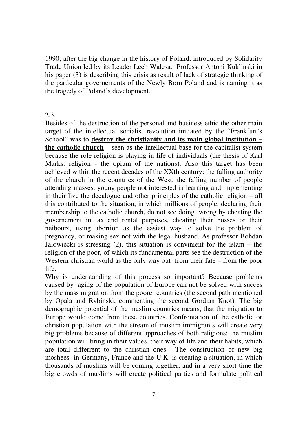1990, after the big change in the history of Poland, introduced by Solidarity Trade Union led by its Leader Lech Walesa. Professor Antoni Kuklinski in his paper (3) is describing this crisis as result of lack of strategic thinking of the particular governements of the Newly Born Poland and is naming it as the tragedy of Poland's development.

#### 2.3.

Besides of the destruction of the personal and business ethic the other main target of the intellectual socialist revolution initiated by the "Frankfurt's School" was to **destroy the christianity and its main global institution – the catholic church** – seen as the intellectual base for the capitalist system because the role religion is playing in life of individuals (the thesis of Karl Marks: religion - the opium of the nations). Also this target has been achieved within the recent decades of the XXth century: the falling authority of the church in the countries of the West, the falling number of people attending masses, young people not interested in learning and implementing in their live the decalogue and other principles of the catholic religion – all this contributed to the situation, in which millions of people, declaring their membership to the catholic church, do not see doing wrong by cheating the governement in tax and rental purposes, cheating their bosses or their neibours, using abortion as the easiest way to solve the problem of pregnancy, or making sex not with the legal husband. As professor Bohdan Jalowiecki is stressing  $(2)$ , this situation is convinient for the islam – the religion of the poor, of which its fundamental parts see the destruction of the Western christian world as the only way out from their fate – from the poor life.

Why is understanding of this process so important? Because problems caused by aging of the population of Europe can not be solved with succes by the mass migration from the poorer countries (the second path mentioned by Opala and Rybinski, commenting the second Gordian Knot). The big demographic potential of the muslim countries means, that the migration to Europe would come from these countries. Confrontation of the catholic or christian population with the stream of muslim immigrants will create very big problems because of different approaches of both religions: the muslim population will bring in their values, their way of life and their habits, which are total differrent to the christian ones. The construction of new big moshees in Germany, France and the U.K. is creating a situation, in which thousands of muslims will be coming together, and in a very short time the big crowds of muslims will create political parties and formulate political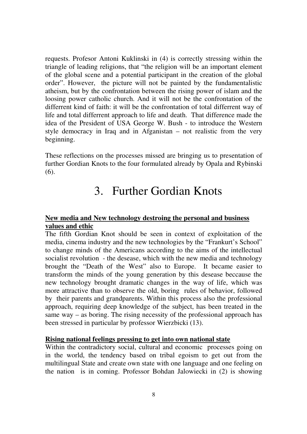requests. Profesor Antoni Kuklinski in (4) is correctly stressing within the triangle of leading religions, that "the religion will be an important element of the global scene and a potential participant in the creation of the global order". However, the picture will not be painted by the fundamentalistic atheism, but by the confrontation between the rising power of islam and the loosing power catholic church. And it will not be the confrontation of the differrent kind of faith: it will be the confrontation of total differrent way of life and total differrent approach to life and death. That difference made the idea of the President of USA George W. Bush - to introduce the Western style democracy in Iraq and in Afganistan – not realistic from the very beginning.

These reflections on the processes missed are bringing us to presentation of further Gordian Knots to the four formulated already by Opala and Rybinski (6).

## 3. Further Gordian Knots

#### **New media and New technology destroing the personal and business values and ethic**

The fifth Gordian Knot should be seen in context of exploitation of the media, cinema industry and the new technologies by the "Frankurt's School" to change minds of the Americans according to the aims of the intellectual socialist revolution - the desease, which with the new media and technology brought the "Death of the West" also to Europe. It became easier to transform the minds of the young generation by this desease beccause the new technology brought dramatic changes in the way of life, which was more attractive than to observe the old, boring rules of behavior, followed by their parents and grandparents. Within this process also the professional approach, requiring deep knowledge of the subject, has been treated in the same way – as boring. The rising necessity of the professional approach has been stressed in particular by professor Wierzbicki (13).

#### **Rising national feelings pressing to get into own national state**

Within the contradictory social, cultural and economic processes going on in the world, the tendency based on tribal egoism to get out from the multilingual State and create own state with one language and one feeling on the nation is in coming. Professor Bohdan Jalowiecki in (2) is showing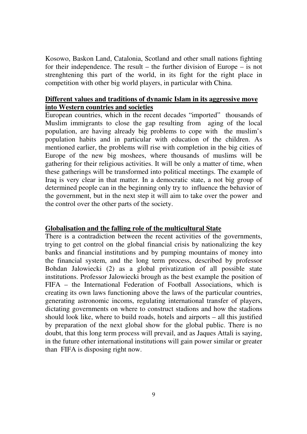Kosowo, Baskon Land, Catalonia, Scotland and other small nations fighting for their independence. The result – the further division of Europe – is not strenghtening this part of the world, in its fight for the right place in competition with other big world players, in particular with China.

#### **Different values and traditions of dynamic Islam in its aggressive move into Western countries and societies**

European countries, which in the recent decades "imported" thousands of Muslim immigrants to close the gap resulting from aging of the local population, are having already big problems to cope with the muslim's population habits and in particular with education of the children. As mentioned earlier, the problems will rise with completion in the big cities of Europe of the new big moshees, where thousands of muslims will be gathering for their religious activities. It will be only a matter of time, when these gatherings will be transformed into political meetings. The example of Iraq is very clear in that matter. In a democratic state, a not big group of determined people can in the beginning only try to influence the behavior of the government, but in the next step it will aim to take over the power and the control over the other parts of the society.

#### **Globalisation and the falling role of the multicultural State**

There is a contradiction between the recent activities of the governments, trying to get control on the global financial crisis by nationalizing the key banks and financial institutions and by pumping mountains of money into the financial system, and the long term process, described by professor Bohdan Jalowiecki (2) as a global privatization of all possible state institutions. Professor Jalowiecki brough as the best example the position of FIFA – the International Federation of Football Associations, which is creating its own laws functioning above the laws of the particular countries, generating astronomic incoms, regulating international transfer of players, dictating governments on where to construct stadions and how the stadions should look like, where to build roads, hotels and airports – all this justified by preparation of the next global show for the global public. There is no doubt, that this long term process will prevail, and as Jaques Attali is saying, in the future other international institutions will gain power similar or greater than FIFA is disposing right now.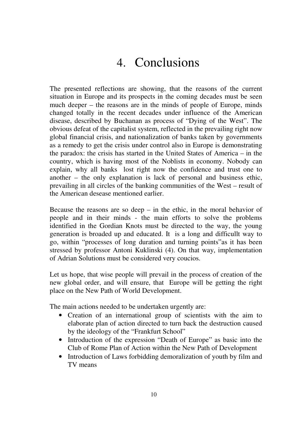# 4. Conclusions

The presented reflections are showing, that the reasons of the current situation in Europe and its prospects in the coming decades must be seen much deeper – the reasons are in the minds of people of Europe, minds changed totally in the recent decades under influence of the American disease, described by Buchanan as process of "Dying of the West". The obvious defeat of the capitalist system, reflected in the prevailing right now global financial crisis, and nationalization of banks taken by governments as a remedy to get the crisis under control also in Europe is demonstrating the paradox: the crisis has started in the United States of America – in the country, which is having most of the Noblists in economy. Nobody can explain, why all banks lost right now the confidence and trust one to another – the only explanation is lack of personal and business ethic, prevailing in all circles of the banking communities of the West – result of the American desease mentioned earlier.

Because the reasons are so deep  $-$  in the ethic, in the moral behavior of people and in their minds - the main efforts to solve the problems identified in the Gordian Knots must be directed to the way, the young generation is broaded up and educated. It is a long and difficullt way to go, within "processes of long duration and turning points"as it has been stressed by professor Antoni Kuklinski (4). On that way, implementation of Adrian Solutions must be considered very coucios.

Let us hope, that wise people will prevail in the process of creation of the new global order, and will ensure, that Europe will be getting the right place on the New Path of World Development.

The main actions needed to be undertaken urgently are:

- Creation of an international group of scientists with the aim to elaborate plan of action directed to turn back the destruction caused by the ideology of the "Frankfurt School"
- Introduction of the expression "Death of Europe" as basic into the Club of Rome Plan of Action within the New Path of Development
- Introduction of Laws forbidding demoralization of youth by film and TV means